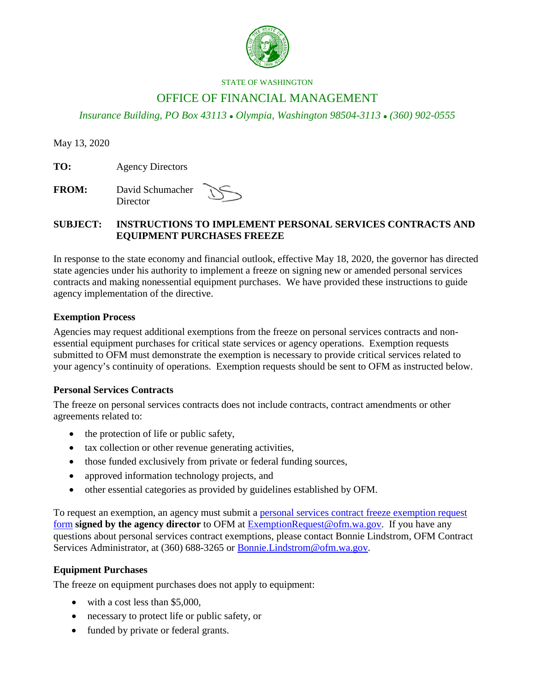

#### STATE OF WASHINGTON

# OFFICE OF FINANCIAL MANAGEMENT

*Insurance Building, PO Box 43113 Olympia, Washington 98504-3113 (360) 902-0555*

May 13, 2020

**TO:** Agency Directors

**FROM:** David Schumacher **Director** 

## **SUBJECT: INSTRUCTIONS TO IMPLEMENT PERSONAL SERVICES CONTRACTS AND EQUIPMENT PURCHASES FREEZE**

In response to the state economy and financial outlook, effective May 18, 2020, the governor has directed state agencies under his authority to implement a freeze on signing new or amended personal services contracts and making nonessential equipment purchases. We have provided these instructions to guide agency implementation of the directive.

### **Exemption Process**

Agencies may request additional exemptions from the freeze on personal services contracts and nonessential equipment purchases for critical state services or agency operations. Exemption requests submitted to OFM must demonstrate the exemption is necessary to provide critical services related to your agency's continuity of operations. Exemption requests should be sent to OFM as instructed below.

#### **Personal Services Contracts**

The freeze on personal services contracts does not include contracts, contract amendments or other agreements related to:

- the protection of life or public safety,
- tax collection or other revenue generating activities,
- those funded exclusively from private or federal funding sources,
- approved information technology projects, and
- other essential categories as provided by guidelines established by OFM.

To request an exemption, an agency must submit a personal services contract freeze exemption request [form](https://ofm.wa.gov/sites/default/files/public/about/covid/PersonalServicesContractExemptionRequestForm.docx) **signed by the agency director** to OFM at [ExemptionRequest@ofm.wa.gov.](mailto:ExemptionRequest@ofm.wa.gov) If you have any questions about personal services contract exemptions, please contact Bonnie Lindstrom, OFM Contract Services Administrator, at (360) 688-3265 or **Bonnie.Lindstrom@ofm.wa.gov.** 

# **Equipment Purchases**

The freeze on equipment purchases does not apply to equipment:

- with a cost less than \$5,000,
- necessary to protect life or public safety, or
- funded by private or federal grants.